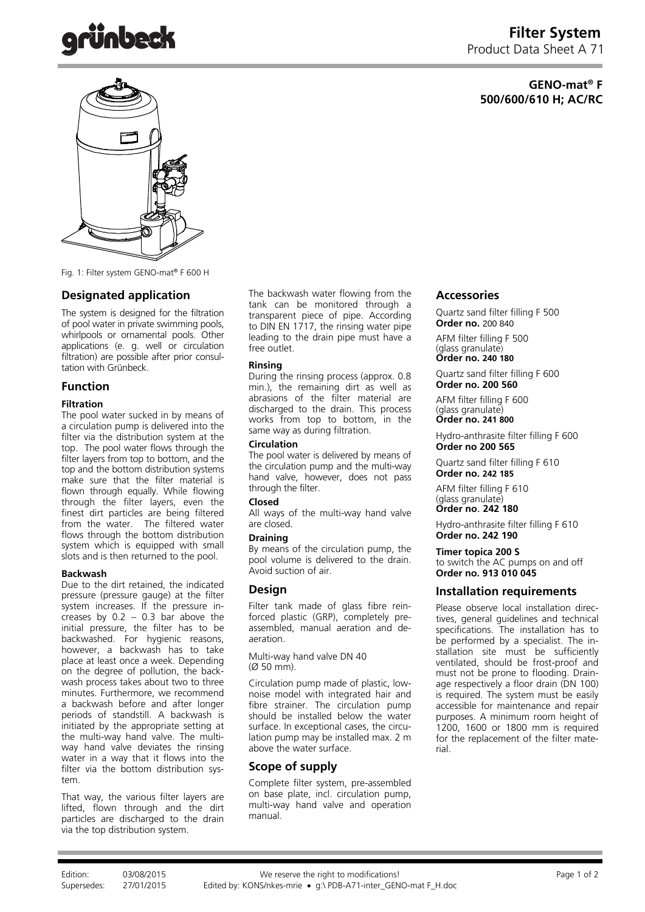# **GENO-mat® F 500/600/610 H; AC/RC**



Fig. 1: Filter system GENO-mat® F 600 H

# **Designated application**

The system is designed for the filtration of pool water in private swimming pools, whirlpools or ornamental pools. Other applications (e. g. well or circulation filtration) are possible after prior consultation with Grünbeck.

# **Function**

### **Filtration**

The pool water sucked in by means of a circulation pump is delivered into the filter via the distribution system at the top. The pool water flows through the filter layers from top to bottom, and the top and the bottom distribution systems make sure that the filter material is flown through equally. While flowing through the filter layers, even the finest dirt particles are being filtered from the water. The filtered water flows through the bottom distribution system which is equipped with small slots and is then returned to the pool.

### **Backwash**

Due to the dirt retained, the indicated pressure (pressure gauge) at the filter system increases. If the pressure increases by  $0.2 - 0.3$  bar above the initial pressure, the filter has to be backwashed. For hygienic reasons, however, a backwash has to take place at least once a week. Depending on the degree of pollution, the backwash process takes about two to three minutes. Furthermore, we recommend a backwash before and after longer periods of standstill. A backwash is initiated by the appropriate setting at the multi-way hand valve. The multiway hand valve deviates the rinsing water in a way that it flows into the filter via the bottom distribution system.

That way, the various filter layers are lifted, flown through and the dirt particles are discharged to the drain via the top distribution system.

The backwash water flowing from the tank can be monitored through a transparent piece of pipe. According to DIN EN 1717, the rinsing water pipe leading to the drain pipe must have a free outlet.

#### **Rinsing**

During the rinsing process (approx. 0.8 min.), the remaining dirt as well as abrasions of the filter material are discharged to the drain. This process works from top to bottom, in the same way as during filtration.

#### **Circulation**

The pool water is delivered by means of the circulation pump and the multi-way hand valve, however, does not pass through the filter.

### **Closed**

All ways of the multi-way hand valve are closed.

#### **Draining**

By means of the circulation pump, the pool volume is delivered to the drain. Avoid suction of air.

# **Design**

Filter tank made of glass fibre reinforced plastic (GRP), completely preassembled, manual aeration and deaeration.

Multi-way hand valve DN 40 (Ø 50 mm).

Circulation pump made of plastic, lownoise model with integrated hair and fibre strainer. The circulation pump should be installed below the water surface. In exceptional cases, the circulation pump may be installed max. 2 m above the water surface.

# **Scope of supply**

Complete filter system, pre-assembled on base plate, incl. circulation pump, multi-way hand valve and operation manual.

# **Accessories**

Quartz sand filter filling F 500 **Order no.** 200 840

AFM filter filling F 500 (glass granulate) **Order no. 240 180**

Quartz sand filter filling F 600 **Order no. 200 560** 

AFM filter filling F 600 (glass granulate) **Order no. 241 800**

Hydro-anthrasite filter filling F 600 **Order no 200 565** 

Quartz sand filter filling F 610 **Order no. 242 185**

AFM filter filling F 610 (glass granulate)

**Order no**. **242 180**

Hydro-anthrasite filter filling F 610 **Order no. 242 190**

**Timer topica 200 S** to switch the AC pumps on and off **Order no. 913 010 045**

# **Installation requirements**

Please observe local installation directives, general guidelines and technical specifications. The installation has to be performed by a specialist. The installation site must be sufficiently ventilated, should be frost-proof and must not be prone to flooding. Drainage respectively a floor drain (DN 100) is required. The system must be easily accessible for maintenance and repair purposes. A minimum room height of 1200, 1600 or 1800 mm is required for the replacement of the filter material.